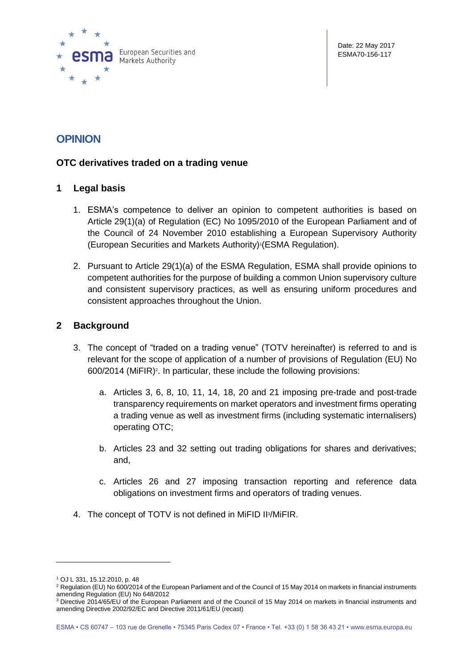

# **OPINION**

## **OTC derivatives traded on a trading venue**

#### **1 Legal basis**

- 1. ESMA's competence to deliver an opinion to competent authorities is based on Article 29(1)(a) of Regulation (EC) No 1095/2010 of the European Parliament and of the Council of 24 November 2010 establishing a European Supervisory Authority (European Securities and Markets Authority)<sup>1</sup> (ESMA Regulation).
- 2. Pursuant to Article 29(1)(a) of the ESMA Regulation, ESMA shall provide opinions to competent authorities for the purpose of building a common Union supervisory culture and consistent supervisory practices, as well as ensuring uniform procedures and consistent approaches throughout the Union.

#### **2 Background**

- 3. The concept of "traded on a trading venue" (TOTV hereinafter) is referred to and is relevant for the scope of application of a number of provisions of Regulation (EU) No 600/2014 (MiFIR) 2 . In particular, these include the following provisions:
	- a. Articles 3, 6, 8, 10, 11, 14, 18, 20 and 21 imposing pre-trade and post-trade transparency requirements on market operators and investment firms operating a trading venue as well as investment firms (including systematic internalisers) operating OTC;
	- b. Articles 23 and 32 setting out trading obligations for shares and derivatives; and,
	- c. Articles 26 and 27 imposing transaction reporting and reference data obligations on investment firms and operators of trading venues.
- 4. The concept of TOTV is not defined in MiFID II<sup>3</sup>/MiFIR.

 $\overline{a}$ 

<sup>1</sup> OJ L 331, 15.12.2010, p. 48

<sup>&</sup>lt;sup>2</sup> Regulation (EU) No 600/2014 of the European Parliament and of the Council of 15 May 2014 on markets in financial instruments amending Regulation (EU) No 648/2012

<sup>&</sup>lt;sup>3</sup> Directive 2014/65/EU of the European Parliament and of the Council of 15 May 2014 on markets in financial instruments and amending Directive 2002/92/EC and Directive 2011/61/EU (recast)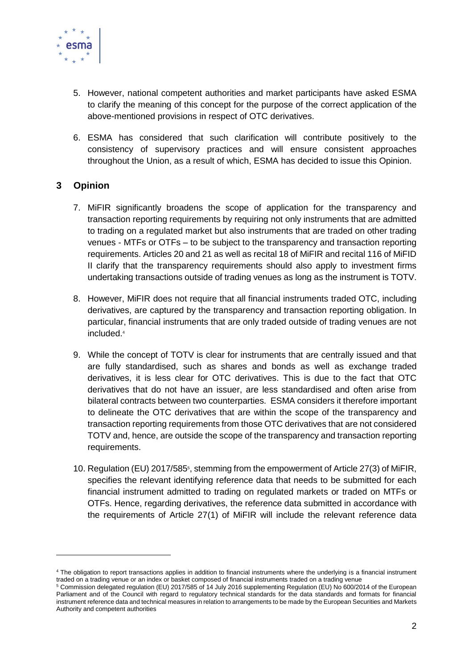

- 5. However, national competent authorities and market participants have asked ESMA to clarify the meaning of this concept for the purpose of the correct application of the above-mentioned provisions in respect of OTC derivatives.
- 6. ESMA has considered that such clarification will contribute positively to the consistency of supervisory practices and will ensure consistent approaches throughout the Union, as a result of which, ESMA has decided to issue this Opinion.

## **3 Opinion**

- 7. MiFIR significantly broadens the scope of application for the transparency and transaction reporting requirements by requiring not only instruments that are admitted to trading on a regulated market but also instruments that are traded on other trading venues - MTFs or OTFs – to be subject to the transparency and transaction reporting requirements. Articles 20 and 21 as well as recital 18 of MiFIR and recital 116 of MiFID II clarify that the transparency requirements should also apply to investment firms undertaking transactions outside of trading venues as long as the instrument is TOTV.
- 8. However, MiFIR does not require that all financial instruments traded OTC, including derivatives, are captured by the transparency and transaction reporting obligation. In particular, financial instruments that are only traded outside of trading venues are not included.<sup>4</sup>
- 9. While the concept of TOTV is clear for instruments that are centrally issued and that are fully standardised, such as shares and bonds as well as exchange traded derivatives, it is less clear for OTC derivatives. This is due to the fact that OTC derivatives that do not have an issuer, are less standardised and often arise from bilateral contracts between two counterparties. ESMA considers it therefore important to delineate the OTC derivatives that are within the scope of the transparency and transaction reporting requirements from those OTC derivatives that are not considered TOTV and, hence, are outside the scope of the transparency and transaction reporting requirements.
- 10. Regulation (EU) 2017/585<sup>5</sup>, stemming from the empowerment of Article 27(3) of MiFIR, specifies the relevant identifying reference data that needs to be submitted for each financial instrument admitted to trading on regulated markets or traded on MTFs or OTFs. Hence, regarding derivatives, the reference data submitted in accordance with the requirements of Article 27(1) of MiFIR will include the relevant reference data

<sup>&</sup>lt;sup>4</sup> The obligation to report transactions applies in addition to financial instruments where the underlying is a financial instrument traded on a trading venue or an index or basket composed of financial instruments traded on a trading venue

<sup>5</sup> Commission delegated regulation (EU) 2017/585 of 14 July 2016 supplementing Regulation (EU) No 600/2014 of the European Parliament and of the Council with regard to regulatory technical standards for the data standards and formats for financial instrument reference data and technical measures in relation to arrangements to be made by the European Securities and Markets Authority and competent authorities